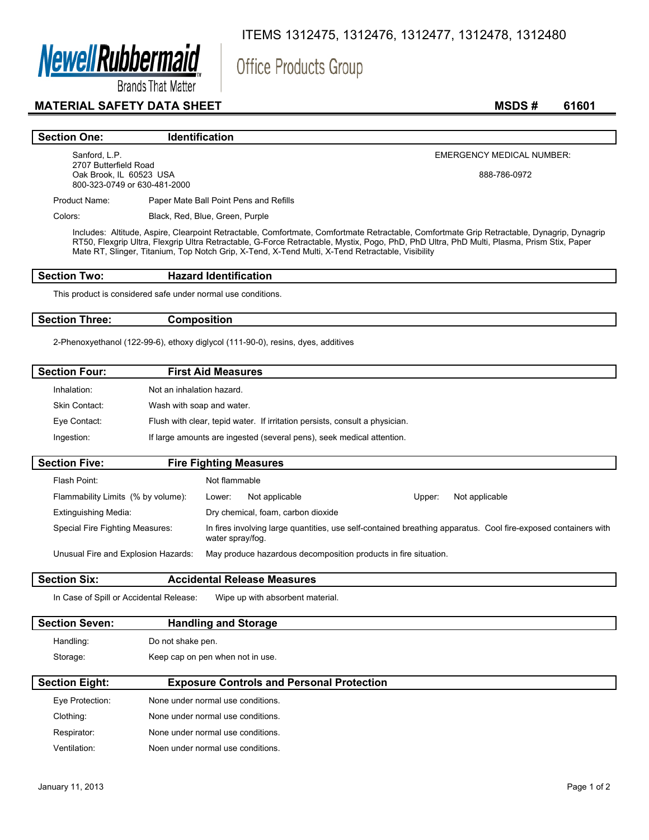

ITEMS 1312475, 1312476, 1312477, 1312478, 1312480

Office Products Group

**Brands That Matter** 

### **MATERIAL SAFETY DATA SHEET** MSDS # 61601

#### **Section One:** Identification

Sanford, L.P. 2707 Butterfield Road Oak Brook, IL 60523 USA 800-323-0749 or 630-481-2000 EMERGENCY MEDICAL NUMBER:

888-786-0972

Product Name: Paper Mate Ball Point Pens and Refills

Colors: Black, Red, Blue, Green, Purple

Includes: Altitude, Aspire, Clearpoint Retractable, Comfortmate, Comfortmate Retractable, Comfortmate Grip Retractable, Dynagrip, Dynagrip RT50, Flexgrip Ultra, Flexgrip Ultra Retractable, G-Force Retractable, Mystix, Pogo, PhD, PhD Ultra, PhD Multi, Plasma, Prism Stix, Paper Mate RT, Slinger, Titanium, Top Notch Grip, X-Tend, X-Tend Multi, X-Tend Retractable, Visibility

### **Section Two: Hazard Identification**

This product is considered safe under normal use conditions.

#### **Section Three: Composition**

2-Phenoxyethanol (122-99-6), ethoxy diglycol (111-90-0), resins, dyes, additives

| <b>Section Four:</b> | <b>First Aid Measures</b>                                                   |
|----------------------|-----------------------------------------------------------------------------|
| Inhalation:          | Not an inhalation hazard.                                                   |
| Skin Contact:        | Wash with soap and water.                                                   |
| Eye Contact:         | Flush with clear, tepid water. If irritation persists, consult a physician. |
| Ingestion:           | If large amounts are ingested (several pens), seek medical attention.       |
| <b>Section Five:</b> | <b>Fire Fighting Measures</b>                                               |
| Flash Point:         | Not flammable                                                               |

|                                     | ,,,,,,,,,,,,,,,,,, |                                                                 |        |                                                                                                                |
|-------------------------------------|--------------------|-----------------------------------------------------------------|--------|----------------------------------------------------------------------------------------------------------------|
| Flammability Limits (% by volume):  | Lower:             | Not applicable                                                  | Upper: | Not applicable                                                                                                 |
| <b>Extinguishing Media:</b>         |                    | Dry chemical, foam, carbon dioxide                              |        |                                                                                                                |
| Special Fire Fighting Measures:     | water spray/fog.   |                                                                 |        | In fires involving large quantities, use self-contained breathing apparatus. Cool fire-exposed containers with |
| Unusual Fire and Explosion Hazards: |                    | May produce hazardous decomposition products in fire situation. |        |                                                                                                                |

### **Section Six: Accidental Release Measures**

In Case of Spill or Accidental Release: Wipe up with absorbent material.

# **Section Seven: Handling and Storage**  Handling: Do not shake pen.

Storage: Keep cap on pen when not in use.

| <b>Section Eight:</b> | <b>Exposure Controls and Personal Protection</b> |  |
|-----------------------|--------------------------------------------------|--|
| Eye Protection:       | None under normal use conditions.                |  |
| Clothing:             | None under normal use conditions.                |  |
| Respirator:           | None under normal use conditions.                |  |
| Ventilation:          | Noen under normal use conditions.                |  |